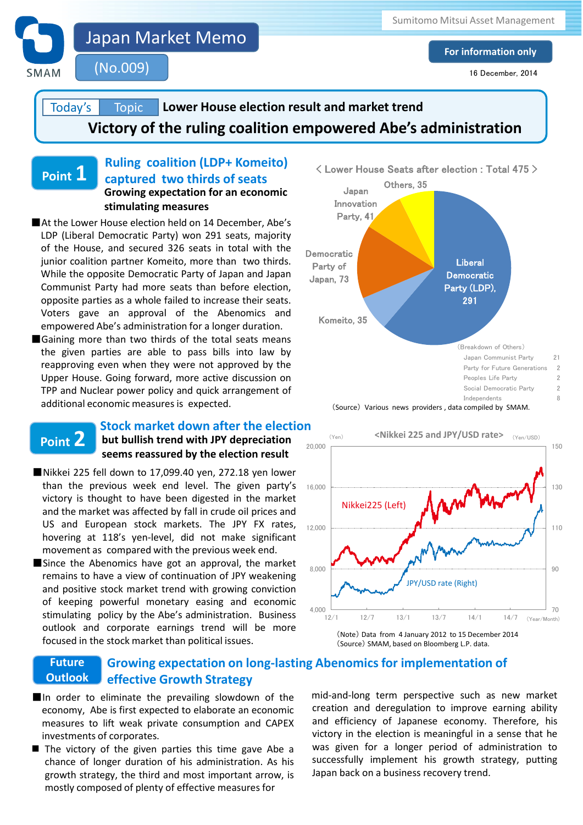

Japan Market Memo

(No.009)

**For information only**

16 December, 2014

### **Victory of the ruling coalition empowered Abe's administration Lower House election result and market trend**  Today's **Topic**

## **Ruling coalition (LDP+ Komeito) captured two thirds of seats Growing expectation for an economic stimulating measures Point 1**

- ■At the Lower House election held on 14 December, Abe's LDP (Liberal Democratic Party) won 291 seats, majority of the House, and secured 326 seats in total with the junior coalition partner Komeito, more than two thirds. While the opposite Democratic Party of Japan and Japan Communist Party had more seats than before election, opposite parties as a whole failed to increase their seats. Voters gave an approval of the Abenomics and empowered Abe's administration for a longer duration.
- ■Gaining more than two thirds of the total seats means the given parties are able to pass bills into law by reapproving even when they were not approved by the Upper House. Going forward, more active discussion on TPP and Nuclear power policy and quick arrangement of additional economic measures is expected.

# **Point 2**

# **but bullish trend with JPY depreciation seems reassured by the election result Stock market down after the election**

- ■Nikkei 225 fell down to 17,099.40 yen, 272.18 yen lower than the previous week end level. The given party's victory is thought to have been digested in the market and the market was affected by fall in crude oil prices and US and European stock markets. The JPY FX rates, hovering at 118's yen-level, did not make significant movement as compared with the previous week end.
- ■Since the Abenomics have got an approval, the market remains to have a view of continuation of JPY weakening and positive stock market trend with growing conviction of keeping powerful monetary easing and economic stimulating policy by the Abe's administration. Business outlook and corporate earnings trend will be more focused in the stock market than political issues.





(Source) SMAM, based on Bloomberg L.P. data.

#### **Growing expectation on long-lasting Abenomics for implementation of effective Growth Strategy Future Outlook**

- ■In order to eliminate the prevailing slowdown of the economy, Abe is first expected to elaborate an economic measures to lift weak private consumption and CAPEX investments of corporates.
- The victory of the given parties this time gave Abe a both as given for a longer period of administration chance of longer duration of his administration. As his successfully implement his growth strategy, putting chance of longer duration of his administration. As his successfully implement his growth strategy, putti growth strategy, the third and most important arrow, is all Japan back on a business recovery trend. mostly composed of plenty of effective measures for

investments of corporates. The election is meaningful in a sense that he mid-and-long term perspective such as new market creation and deregulation to improve earning ability and efficiency of Japanese economy. Therefore, his was given for a longer period of administration to Japan back on a business recovery trend.